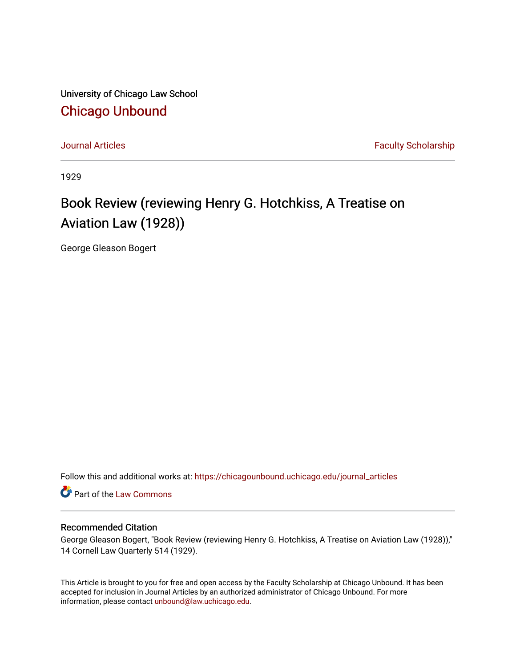University of Chicago Law School [Chicago Unbound](https://chicagounbound.uchicago.edu/)

[Journal Articles](https://chicagounbound.uchicago.edu/journal_articles) **Faculty Scholarship Journal Articles** 

1929

## Book Review (reviewing Henry G. Hotchkiss, A Treatise on Aviation Law (1928))

George Gleason Bogert

Follow this and additional works at: [https://chicagounbound.uchicago.edu/journal\\_articles](https://chicagounbound.uchicago.edu/journal_articles?utm_source=chicagounbound.uchicago.edu%2Fjournal_articles%2F8931&utm_medium=PDF&utm_campaign=PDFCoverPages) 

Part of the [Law Commons](http://network.bepress.com/hgg/discipline/578?utm_source=chicagounbound.uchicago.edu%2Fjournal_articles%2F8931&utm_medium=PDF&utm_campaign=PDFCoverPages)

## Recommended Citation

George Gleason Bogert, "Book Review (reviewing Henry G. Hotchkiss, A Treatise on Aviation Law (1928))," 14 Cornell Law Quarterly 514 (1929).

This Article is brought to you for free and open access by the Faculty Scholarship at Chicago Unbound. It has been accepted for inclusion in Journal Articles by an authorized administrator of Chicago Unbound. For more information, please contact [unbound@law.uchicago.edu](mailto:unbound@law.uchicago.edu).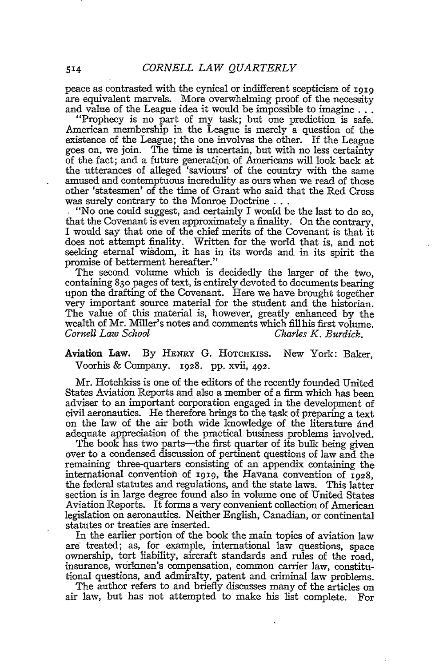peace as contrasted with the cynical or indifferent scepticism of **1919** are equivalent marvels. More overwhelming proof of the necessity and value of the League idea it would be impossible to imagine...

"Prophecy is no part of my task; but one prediction is safe. American membership in the League is merely a question of the existence of the League; the one involves the other. If the League goes on, we join. The time is uncertain, but with no less certainty of the fact; and a future generation of Americans will look back at the utterances of alleged 'saviours' of the country with the same amused and contemptuous incredulity as ours when we read of those other 'statesmen' of the time of Grant who said that the Red Cross was surely contrary to the Monroe Doctrine...

"No one could suggest, and certainly I would be the last to do so, that the Covenant is even approximately a finality. On the contrary, I would say that one of the chief merits of the Covenant is that it does not attempt finality. Written for the world that is, and not seeking eternal wisdom, it has in its words and in its spirit the promise of betterment hereafter."

The second volume which is decidedly the larger of the two, containing **830** pages of text, is entirely devoted to documents bearing upon the drafting of the Covenant. Here we have brought together very important source material for the student and the historian. The value of this material is, however, greatly enhanced by the wealth of Mr. Miller's notes and comments which fill his first volume.<br>Cornell Law School Charles K. Burdick. *Charles K. Burdick.* 

Aviation Law. By **HENRY** G. HOTCHKISs. New York: Baker, Voorhis & Company. **1928.** pp. xvii, 492.

Mr. Hotchkiss is one of the editors of the recently founded United States Aviation Reports and also a member of a firm which has been adviser to an important corporation engaged in the development of civil aeronautics. He therefore brings to the task of preparing a text on the law of the air both wide knowledge of the literature and adequate appreciation of the practical business problems involved.

The book has two parts-the first quarter of its bulk being given over to a condensed discussion of pertinent questions of law and the remaining three-quarters consisting of an appendix containing the international convention of **1919,** the Havana convention of 1928, the federal statutes and regulations, and the state laws. This latter section is in large degree found also in volume one of United States Aviation Reports. It forms a very convenient collection of American legislation on aeronautics. Neither English, Canadian, or continental statutes or treaties are inserted.

In the earlier portion of the book the main topics of aviation law are' treated; as, for example, international law questions, space ownership, tort liability, aircraft standards and rules of the road, insurance, workmen's compensation, common carrier law, constitutional questions, and admiralty, patent and criminal law problems.

The author refers to and briefly discusses many of the articles on air law, but has not attempted to make his list complete. For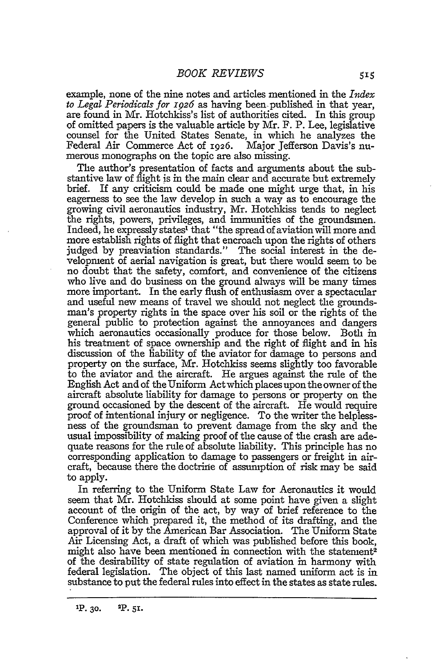example, none of the nine notes and articles mentioned in the *Index to Legal Periodicals for* **1926** as having been- published in that year, are found in Mr. Hotchkiss's list of authorities cited. In this group of omitted papers is the valuable article by Mr. F. P. Lee, legislative counsel for the United States Senate, in which he analyzes the Federal Air Commerce Act of 1926. Major Jefferson Davis's numerous monographs on the topic are also missing.

The author's presentation of facts and arguments about the substantive law of flight is in the main clear and accurate but extremely brief. If any criticism could be made one might urge that, in his eagerness to see the law develop in such a way as to encourage the growing civil aeronautics industry, Mr. Hotchkiss tends to neglect the rights, powers, privileges, and immunities of the groundsmen. Indeed, he expressly states' that "the spread of aviation will more and more establish rights of flight that encroach upon the rights of others judged by preaviation standards." The social interest in the development of aerial navigation is great, but there would seem to be no doubt that the safety, comfort, and convenience of the citizens who live and do business on the ground always will be many times more important. In the early flush of enthusiasm over a spectacular and useful new means of travel we should not neglect the groundsman's property rights in the space over his soil or the rights of the general public to protection against the annoyances and dangers which aeronautics occasionally produce for those below. Both in his treatment of space ownership and the right of flight and in his discussion of the liability of the aviator for damage to persons and property on the surface, Mr. Hotchkiss seems slightly too favorable to the aviator and the aircraft. He argues against the rule of the English Act and of the Uniform Act which places upon the owner of the aircraft absolute liability for damage to persons or property on the ground occasioned by the descent of the aircraft. He would require proof of intentional injury or negligence. To the writer the helplessness of the groundsman to prevent damage from the sky and the usual impossibility of making proof of the cause of the crash are adequate reasons for the rule of absolute liability. This principle has no corresponding application to damage to passengers or freight in aircraft, because there the doctrine of assumption of risk may be said to apply.

In referring to the Uniform State Law for Aeronautics it would seem that Mr. Hotchkiss should at some point have given a slight account of the origin of the act, by way of brief reference to the Conference which prepared it, the method of its drafting, and the approval of it by the American Bar Association. The Uniform State Air Licensing Act, a draft of which was published before this book, might also have been mentioned in connection with the statement<sup>2</sup> of the desirability of state regulation of aviation in harmony with federal legislation. The object of this last named uniform act is in substance to put the federal rules into effect in the states as state rules.

**'P. 30. 2p. 51.**